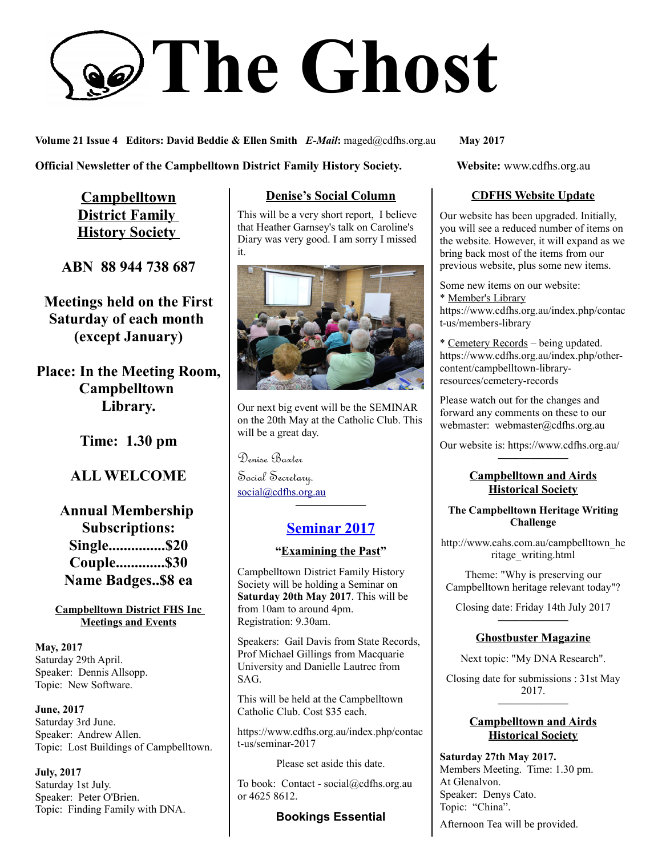# **The Ghost**

**Volume 21 Issue 4 Editors: David Beddie & Ellen Smith** *E-Mail***:** maged@cdfhs.org.au **May 2017**

### **Official Newsletter of the Campbelltown District Family History Society. Website: www.cdfhs.org.au**

**Campbelltown District Family History Society** 

# **ABN 88 944 738 687**

**Meetings held on the First Saturday of each month (except January)**

**Place: In the Meeting Room, Campbelltown Library.**

**Time: 1.30 pm**

# **ALL WELCOME**

**Annual Membership Subscriptions: Single...............\$20 Couple.............\$30 Name Badges..\$8 ea**

**Campbelltown District FHS Inc Meetings and Events**

**May, 2017** Saturday 29th April. Speaker: Dennis Allsopp. Topic: New Software.

**June, 2017** Saturday 3rd June. Speaker: Andrew Allen. Topic: Lost Buildings of Campbelltown.

**July, 2017** Saturday 1st July. Speaker: Peter O'Brien. Topic: Finding Family with DNA.

## **Denise's Social Column**

This will be a very short report, I believe that Heather Garnsey's talk on Caroline's Diary was very good. I am sorry I missed it.



Our next big event will be the SEMINAR on the 20th May at the Catholic Club. This will be a great day.

Denise Baxter

Social Secretary. [social@cdfhs.org.au](mailto:social@cdfhs.org.au)

# **Seminar 2017**

**——————–**

#### **"Examining the Past"**

Campbelltown District Family History Society will be holding a Seminar on **Saturday 20th May 2017**. This will be from 10am to around 4pm. Registration: 9.30am.

Speakers: Gail Davis from State Records, Prof Michael Gillings from Macquarie University and Danielle Lautrec from SAG.

This will be held at the Campbelltown Catholic Club. Cost \$35 each.

https://www.cdfhs.org.au/index.php/contac t-us/seminar-2017

Please set aside this date.

To book: Contact - social@cdfhs.org.au or 4625 8612.

#### **Bookings Essential**

#### **CDFHS Website Update**

Our website has been upgraded. Initially, you will see a reduced number of items on the website. However, it will expand as we bring back most of the items from our previous website, plus some new items.

Some new items on our website: \* Member's Library https://www.cdfhs.org.au/index.php/contac t-us/members-library

\* Cemetery Records – being updated. https://www.cdfhs.org.au/index.php/othercontent/campbelltown-libraryresources/cemetery-records

Please watch out for the changes and forward any comments on these to our webmaster: webmaster@cdfhs.org.au

Our website is: https://www.cdfhs.org.au/ **——————–**

## **Campbelltown and Airds Historical Society**

#### **The Campbelltown Heritage Writing Challenge**

http://www.cahs.com.au/campbelltown\_he ritage\_writing.html

Theme: "Why is preserving our Campbelltown heritage relevant today"?

Closing date: Friday 14th July 2017 **——————–**

#### **Ghostbuster Magazine**

Next topic: "My DNA Research".

Closing date for submissions : 31st May 2017. **——————–**

#### **Campbelltown and Airds Historical Society**

**Saturday 27th May 2017.** Members Meeting. Time: 1.30 pm. At Glenalvon. Speaker: Denys Cato. Topic: "China".

Afternoon Tea will be provided.